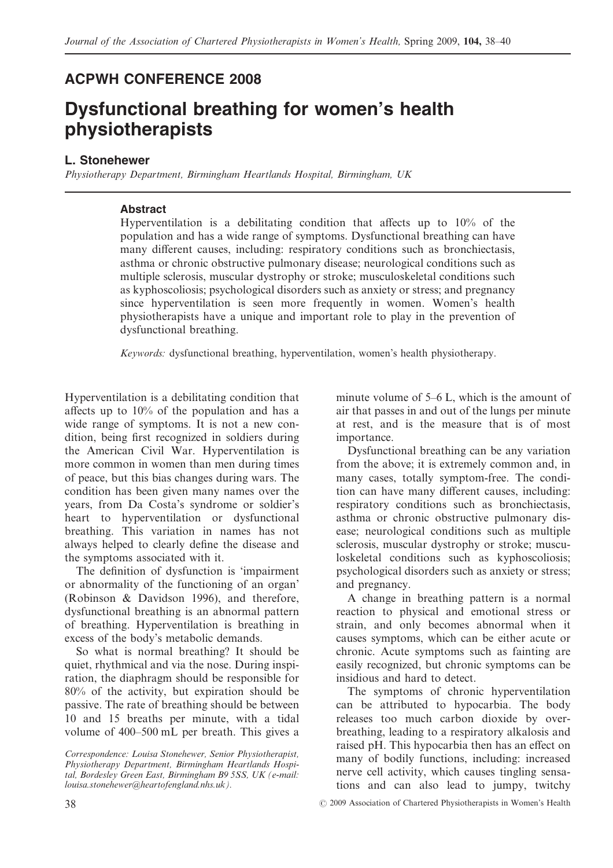# **ACPWH CONFERENCE 2008**

# **Dysfunctional breathing for women's health physiotherapists**

### **L. Stonehewer**

*Physiotherapy Department, Birmingham Heartlands Hospital, Birmingham, UK*

## **Abstract**

Hyperventilation is a debilitating condition that affects up to 10% of the population and has a wide range of symptoms. Dysfunctional breathing can have many different causes, including: respiratory conditions such as bronchiectasis, asthma or chronic obstructive pulmonary disease; neurological conditions such as multiple sclerosis, muscular dystrophy or stroke; musculoskeletal conditions such as kyphoscoliosis; psychological disorders such as anxiety or stress; and pregnancy since hyperventilation is seen more frequently in women. Women's health physiotherapists have a unique and important role to play in the prevention of dysfunctional breathing.

*Keywords:* dysfunctional breathing, hyperventilation, women's health physiotherapy.

Hyperventilation is a debilitating condition that affects up to 10% of the population and has a wide range of symptoms. It is not a new condition, being first recognized in soldiers during the American Civil War. Hyperventilation is more common in women than men during times of peace, but this bias changes during wars. The condition has been given many names over the years, from Da Costa's syndrome or soldier's heart to hyperventilation or dysfunctional breathing. This variation in names has not always helped to clearly define the disease and the symptoms associated with it.

The definition of dysfunction is 'impairment or abnormality of the functioning of an organ' (Robinson & Davidson 1996), and therefore, dysfunctional breathing is an abnormal pattern of breathing. Hyperventilation is breathing in excess of the body's metabolic demands.

So what is normal breathing? It should be quiet, rhythmical and via the nose. During inspiration, the diaphragm should be responsible for 80% of the activity, but expiration should be passive. The rate of breathing should be between 10 and 15 breaths per minute, with a tidal volume of 400–500 mL per breath. This gives a

minute volume of 5–6 L, which is the amount of air that passes in and out of the lungs per minute at rest, and is the measure that is of most importance.

Dysfunctional breathing can be any variation from the above; it is extremely common and, in many cases, totally symptom-free. The condition can have many different causes, including: respiratory conditions such as bronchiectasis, asthma or chronic obstructive pulmonary disease; neurological conditions such as multiple sclerosis, muscular dystrophy or stroke; musculoskeletal conditions such as kyphoscoliosis; psychological disorders such as anxiety or stress; and pregnancy.

A change in breathing pattern is a normal reaction to physical and emotional stress or strain, and only becomes abnormal when it causes symptoms, which can be either acute or chronic. Acute symptoms such as fainting are easily recognized, but chronic symptoms can be insidious and hard to detect.

The symptoms of chronic hyperventilation can be attributed to hypocarbia. The body releases too much carbon dioxide by overbreathing, leading to a respiratory alkalosis and raised pH. This hypocarbia then has an effect on many of bodily functions, including: increased nerve cell activity, which causes tingling sensations and can also lead to jumpy, twitchy

*Correspondence: Louisa Stonehewer, Senior Physiotherapist, Physiotherapy Department, Birmingham Heartlands Hospital, Bordesley Green East, Birmingham B9 5SS, UK (e-mail: louisa.stonehewer@heartofengland.nhs.uk).*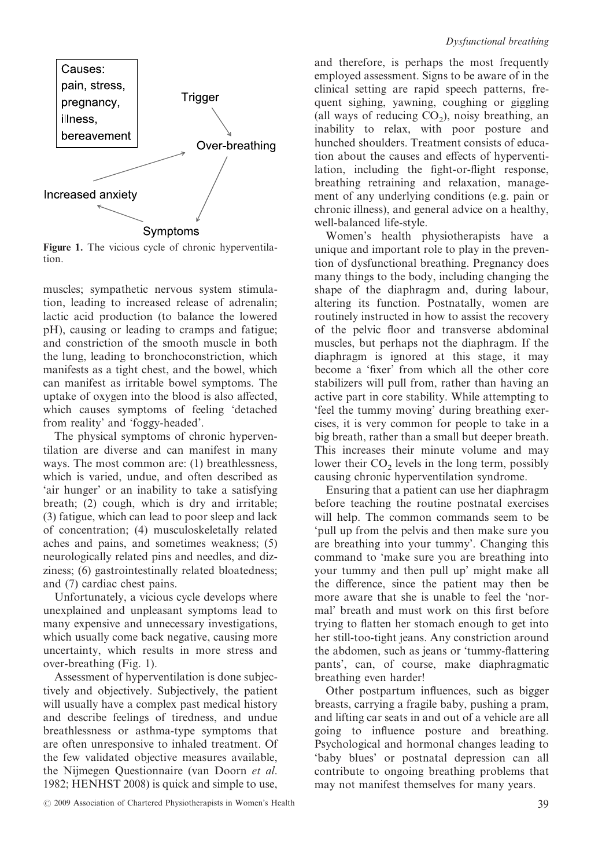

**Figure 1.** The vicious cycle of chronic hyperventilation.

muscles; sympathetic nervous system stimulation, leading to increased release of adrenalin; lactic acid production (to balance the lowered pH), causing or leading to cramps and fatigue; and constriction of the smooth muscle in both the lung, leading to bronchoconstriction, which manifests as a tight chest, and the bowel, which can manifest as irritable bowel symptoms. The uptake of oxygen into the blood is also affected, which causes symptoms of feeling 'detached from reality' and 'foggy-headed'.

The physical symptoms of chronic hyperventilation are diverse and can manifest in many ways. The most common are: (1) breathlessness, which is varied, undue, and often described as 'air hunger' or an inability to take a satisfying breath; (2) cough, which is dry and irritable; (3) fatigue, which can lead to poor sleep and lack of concentration; (4) musculoskeletally related aches and pains, and sometimes weakness; (5) neurologically related pins and needles, and dizziness; (6) gastrointestinally related bloatedness; and (7) cardiac chest pains.

Unfortunately, a vicious cycle develops where unexplained and unpleasant symptoms lead to many expensive and unnecessary investigations, which usually come back negative, causing more uncertainty, which results in more stress and over-breathing (Fig. 1).

Assessment of hyperventilation is done subjectively and objectively. Subjectively, the patient will usually have a complex past medical history and describe feelings of tiredness, and undue breathlessness or asthma-type symptoms that are often unresponsive to inhaled treatment. Of the few validated objective measures available, the Nijmegen Questionnaire (van Doorn *et al*. 1982; HENHST 2008) is quick and simple to use,

and therefore, is perhaps the most frequently employed assessment. Signs to be aware of in the clinical setting are rapid speech patterns, frequent sighing, yawning, coughing or giggling (all ways of reducing  $CO<sub>2</sub>$ ), noisy breathing, an inability to relax, with poor posture and hunched shoulders. Treatment consists of education about the causes and effects of hyperventilation, including the fight-or-flight response, breathing retraining and relaxation, management of any underlying conditions (e.g. pain or chronic illness), and general advice on a healthy, well-balanced life-style.

Women's health physiotherapists have a unique and important role to play in the prevention of dysfunctional breathing. Pregnancy does many things to the body, including changing the shape of the diaphragm and, during labour, altering its function. Postnatally, women are routinely instructed in how to assist the recovery of the pelvic floor and transverse abdominal muscles, but perhaps not the diaphragm. If the diaphragm is ignored at this stage, it may become a 'fixer' from which all the other core stabilizers will pull from, rather than having an active part in core stability. While attempting to 'feel the tummy moving' during breathing exercises, it is very common for people to take in a big breath, rather than a small but deeper breath. This increases their minute volume and may lower their  $CO<sub>2</sub>$  levels in the long term, possibly causing chronic hyperventilation syndrome.

Ensuring that a patient can use her diaphragm before teaching the routine postnatal exercises will help. The common commands seem to be 'pull up from the pelvis and then make sure you are breathing into your tummy'. Changing this command to 'make sure you are breathing into your tummy and then pull up' might make all the difference, since the patient may then be more aware that she is unable to feel the 'normal' breath and must work on this first before trying to flatten her stomach enough to get into her still-too-tight jeans. Any constriction around the abdomen, such as jeans or 'tummy-flattering pants', can, of course, make diaphragmatic breathing even harder!

Other postpartum influences, such as bigger breasts, carrying a fragile baby, pushing a pram, and lifting car seats in and out of a vehicle are all going to influence posture and breathing. Psychological and hormonal changes leading to 'baby blues' or postnatal depression can all contribute to ongoing breathing problems that may not manifest themselves for many years.